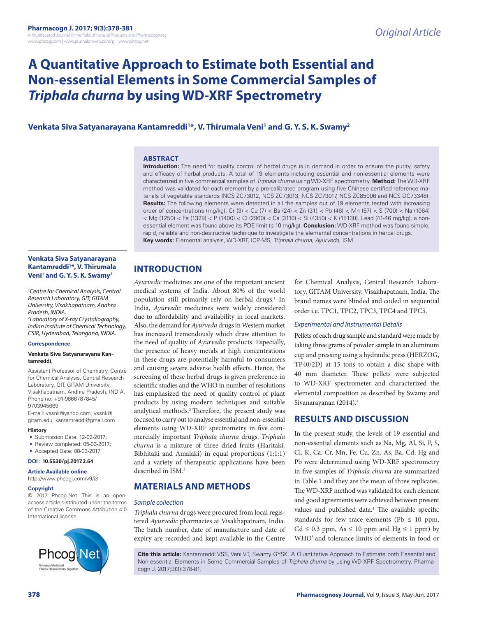# **A Quantitative Approach to Estimate both Essential and Non-essential Elements in Some Commercial Samples of**  *Triphala churna* **by using WD-XRF Spectrometry**

# **Venkata Siva Satyanarayana Kantamreddi1 \*, V. Thirumala Veni1 and G. Y. S. K. Swamy2**

# **ABSTRACT**

**Introduction:** The need for quality control of herbal drugs is in demand in order to ensure the purity, safety and efficacy of herbal products. A total of 19 elements including essential and non-essential elements were characterized in five commercial samples of *Triphala churna* using WD-XRF spectrometry. **Method:** The WD-XRF method was validated for each element by a pre-calibrated program using five Chinese certified reference materials of vegetable standards (NCS ZC73012, NCS ZC73013, NCS ZC73017, NCS ZC85006 and NCS DC73348). **Results:** The following elements were detected in all the samples out of 19 elements tested with increasing order of concentrations (mg/kg): Cr (3) < Cu (7) < Ba (24) < Zn (31) < Pb (46) < Mn (57) < S (700) < Na (1064) < Mg (1250) < Fe (1329) < P (1400) < Cl (2960) < Ca (3110) < Si (4350) < K (15130). Lead (41-46 mg/kg), a nonessential element was found above its PDE limit (≤ 10 mg/kg). **Conclusion:** WD-XRF method was found simple, rapid, reliable and non-destructive technique to investigate the elemental concentrations in herbal drugs. **Key words:** Elemental analysis, WD-XRF, ICP-MS, *Triphala churna*, *Ayurveda*, ISM

# **Venkata Siva Satyanarayana Kantamreddi1 \*, V. Thirumala Veni1 and G. Y. S. K. Swamy2**

*1 Centre for Chemical Analysis, Central Research Laboratory, GIT, GITAM University, Visakhapatnam, Andhra Pradesh, INDIA. 2 Laboratory of X-ray Crystallography,* 

*Indian Institute of Chemical Technology, CSIR, Hyderabad, Telangana, INDIA.*

# **Correspondence**

#### **Venkata Siva Satyanarayana Kantamreddi**,

Assistant Professor of Chemistry, Centre for Chemical Analysis, Central Research Laboratory, GIT, GITAM University, Visakhapatnam, Andhra Pradesh, INDIA. Phone no: +91-9866787845/ 9703945669

E-mail: vssnk@yahoo.com, vssnk@ gitam.edu, kantamreddi@gmail.com

### **History**

- Submission Date: 12-02-2017;
- Review completed: 05-03-2017;
- Accepted Date: 08-03-2017 **DOI : 10.5530/pj.2017.3.64**

# **Article Available online**

http://www.phcogj.com/v9/i3

#### **Copyright**

© 2017 Phcog.Net. This is an openaccess article distributed under the terms of the Creative Commons Attribution 4.0 International license.



# **INTRODUCTION**

*Ayurvedic* medicines are one of the important ancient medical systems of India. About 80% of the world population still primarily rely on herbal drugs.<sup>1</sup> In India, *Ayurvedic* medicines were widely considered due to affordability and availability in local markets. Also, the demand for *Ayurveda* drugs in Western market has increased tremendously which draw attention to the need of quality of *Ayurvedic* products. Especially, the presence of heavy metals at high concentrations in these drugs are potentially harmful to consumers and causing severe adverse health effects. Hence, the screening of these herbal drugs is given preference in scientific studies and the WHO in number of resolutions has emphasized the need of quality control of plant products by using modern techniques and suitable analytical methods.2 Therefore, the present study was focused to carry out to analyse essential and non-essential elements using WD-XRF spectrometry in five commercially important *Triphala churna* drugs. *Triphala churna* is a mixture of three dried fruits (Haritaki*,*  Bibhitaki and Amalaki) in equal proportions (1:1:1) and a variety of therapeutic applications have been described in ISM.3

# **MATERIALS AND METHODS**

# *Sample collection*

*Triphala churna* drugs were procured from local registered *Ayurvedic* pharmacies at Visakhapatnam, India. The batch number, date of manufacture and date of expiry are recorded and kept available in the Centre

for Chemical Analysis, Central Research Laboratory, GITAM University, Visakhapatnam, India. The brand names were blinded and coded in sequential order i.e. TPC1, TPC2, TPC3, TPC4 and TPC5.

# *Experimental and Instrumental Details*

Pellets of each drug sample and standard were made by taking three grams of powder sample in an aluminum cup and pressing using a hydraulic press (HERZOG, TP40/2D) at 15 tons to obtain a disc shape with 40 mm diameter. These pellets were subjected to WD-XRF spectrometer and characterized the elemental composition as described by Swamy and Sivanarayanan (2014).4

# **RESULTS AND DISCUSSION**

In the present study, the levels of 19 essential and non-essential elements such as Na, Mg, Al, Si, P, S, Cl, K, Ca, Cr, Mn, Fe, Cu, Zn, As, Ba, Cd, Hg and Pb were determined using WD-XRF spectrometry in five samples of *Triphala churna* are summarized in Table 1 and they are the mean of three replicates. The WD-XRF method was validated for each element and good agreements were achieved between present values and published data.<sup>4</sup> The available specific standards for few trace elements (Pb  $\leq 10$  ppm,  $Cd \leq 0.3$  ppm, As  $\leq 10$  ppm and Hg  $\leq 1$  ppm) by WHO5 and tolerance limits of elements in food or

**Cite this article:** Kantamreddi VSS, Veni VT, Swamy GYSK. A Quantitative Approach to Estimate both Essential and Non-essential Elements in Some Commercial Samples of *Triphala churna* by using WD-XRF Spectrometry. Pharmacogn J. 2017;9(3):378-81.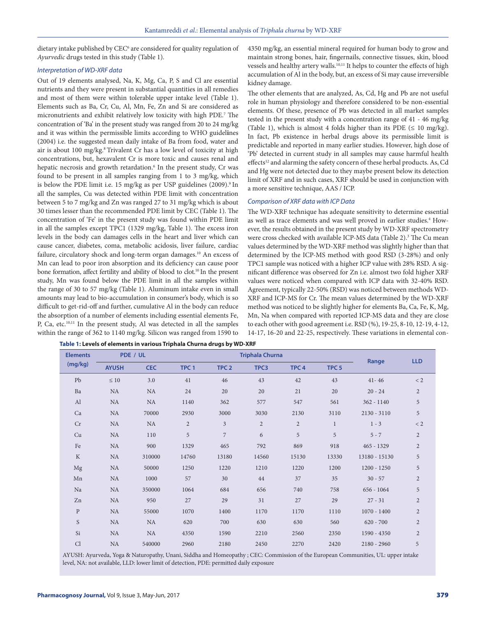dietary intake published by CEC<sup>6</sup> are considered for quality regulation of *Ayurvedic* drugs tested in this study (Table 1).

# *Interpretation of WD-XRF data*

Out of 19 elements analysed, Na, K, Mg, Ca, P, S and Cl are essential nutrients and they were present in substantial quantities in all remedies and most of them were within tolerable upper intake level (Table 1). Elements such as Ba, Cr, Cu, Al, Mn, Fe, Zn and Si are considered as micronutrients and exhibit relatively low toxicity with high PDE.7 The concentration of 'Ba' in the present study was ranged from 20 to 24 mg/kg and it was within the permissible limits according to WHO guidel**i**nes (2004) i.e. the suggested mean daily intake of Ba from food, water and air is about 100 mg/kg.8 Trivalent Cr has a low level of toxicity at high concentrations, but, hexavalent Cr is more toxic and causes renal and hepatic necrosis and growth retardation.<sup>6</sup> In the present study, Cr was found to be present in all samples ranging from 1 to 3 mg/kg, which is below the PDE limit i.e. 15 mg/kg as per USP guidelines (2009).<sup>9</sup> In all the samples, Cu was detected within PDE limit with concentration between 5 to 7 mg/kg and Zn was ranged 27 to 31 mg/kg which is about 30 times lesser than the recommended PDE limit by CEC (Table 1). The concentration of 'Fe' in the present study was found within PDE limit in all the samples except TPC1 (1329 mg/kg, Table 1). The excess iron levels in the body can damages cells in the heart and liver which can cause cancer, diabetes, coma, metabolic acidosis, liver failure, cardiac failure, circulatory shock and long-term organ damages.<sup>10</sup> An excess of Mn can lead to poor iron absorption and its deficiency can cause poor bone formation, affect fertility and ability of blood to clot.<sup>10</sup> In the present study, Mn was found below the PDE limit in all the samples within the range of 30 to 57 mg/kg (Table 1). Aluminum intake even in small amounts may lead to bio-accumulation in consumer's body, which is so difficult to get-rid-off and further, cumulative Al in the body can reduce the absorption of a number of elements including essential elements Fe, P, Ca, etc.10,11 In the present study, Al was detected in all the samples within the range of 362 to 1140 mg/kg. Silicon was ranged from 1590 to

4350 mg/kg, an essential mineral required for human body to grow and maintain strong bones, hair, fingernails, connective tissues, skin, blood vessels and healthy artery walls.<sup>10,11</sup> It helps to counter the effects of high accumulation of Al in the body, but, an excess of Si may cause irreversible kidney damage.

The other elements that are analyzed, As, Cd, Hg and Pb are not useful role in human physiology and therefore considered to be non-essential elements. Of these, presence of Pb was detected in all market samples tested in the present study with a concentration range of 41 - 46 mg/kg (Table 1), which is almost 4 folds higher than its PDE ( $\leq 10$  mg/kg). In fact, Pb existence in herbal drugs above its permissible limit is predictable and reported in many earlier studies. However, high dose of 'Pb' detected in current study in all samples may cause harmful health effects<sup>12</sup> and alarming the safety concern of these herbal products. As, Cd and Hg were not detected due to they maybe present below its detection limit of XRF and in such cases, XRF should be used in conjunction with a more sensitive technique, AAS / ICP.

# *Comparison of XRF data with ICP Data*

The WD-XRF technique has adequate sensitivity to determine essential as well as trace elements and was well proved in earlier studies.<sup>4</sup> However, the results obtained in the present study by WD-XRF spectrometry were cross checked with available ICP-MS data (Table 2).<sup>3</sup> The Cu mean values determined by the WD-XRF method was slightly higher than that determined by the ICP-MS method with good RSD (3-28%) and only TPC1 sample was noticed with a higher ICP value with 28% RSD. A significant difference was observed for Zn i.e. almost two fold higher XRF values were noticed when compared with ICP data with 32-40% RSD. Agreement, typically 22-50% (RSD) was noticed between methods WD-XRF and ICP-MS for Cr. The mean values determined by the WD-XRF method was noticed to be slightly higher for elements Ba, Ca, Fe, K, Mg, Mn, Na when compared with reported ICP-MS data and they are close to each other with good agreement i.e. RSD (%), 19-25, 8-10, 12-19, 4-12, 14-17, 16-20 and 22-25, respectively. These variations in elemental con-

| <b>Elements</b> |              | PDE / UL   |                  | <b>Triphala Churna</b> |            |                  |                  |               |                |
|-----------------|--------------|------------|------------------|------------------------|------------|------------------|------------------|---------------|----------------|
| (mg/kg)         | <b>AYUSH</b> | <b>CEC</b> | TPC <sub>1</sub> | TPC <sub>2</sub>       | TPC3       | TPC <sub>4</sub> | TPC <sub>5</sub> | Range         | <b>LLD</b>     |
| Pb              | $\leq 10$    | 3.0        | 41               | 46                     | 43         | 42               | 43               | $41 - 46$     | < 2            |
| Ba              | NA           | NA         | 24               | 20                     | 20         | 21               | 20               | $20 - 24$     | $\overline{2}$ |
| AI              | NA           | <b>NA</b>  | 1140             | 362                    | 577        | 547              | 561              | $362 - 1140$  | 5              |
| Ca              | NA           | 70000      | 2930             | 3000                   | 3030       | 2130             | 3110             | $2130 - 3110$ | 5              |
| Cr              | NA           | NA         | $\overline{2}$   | $\overline{3}$         | $\sqrt{2}$ | $\overline{2}$   | $\mathbf{1}$     | $1 - 3$       | $\rm < 2$      |
| Cu              | NA           | 110        | 5                | $\overline{7}$         | 6          | 5                | 5                | $5 - 7$       | $\overline{2}$ |
| Fe              | NA           | 900        | 1329             | 465                    | 792        | 869              | 918              | 465 - 1329    | $\sqrt{2}$     |
| $\rm K$         | NA           | 310000     | 14760            | 13180                  | 14560      | 15130            | 13330            | 13180 - 15130 | 5              |
| Mg              | NA           | 50000      | 1250             | 1220                   | 1210       | 1220             | 1200             | $1200 - 1250$ | 5              |
| Mn              | NA           | 1000       | 57               | 30                     | 44         | 37               | 35               | $30 - 57$     | $\overline{2}$ |
| Na              | NA           | 350000     | 1064             | 684                    | 656        | 740              | 758              | $656 - 1064$  | 5              |
| Zn              | NA           | 950        | 27               | 29                     | 31         | 27               | 29               | $27 - 31$     | $\overline{2}$ |
| $\mathbf{P}$    | NA           | 55000      | 1070             | 1400                   | 1170       | 1170             | 1110             | $1070 - 1400$ | $\overline{2}$ |
| S               | NA           | NA         | 620              | 700                    | 630        | 630              | 560              | $620 - 700$   | $\overline{2}$ |
| Si              | NA           | NA         | 4350             | 1590                   | 2210       | 2560             | 2350             | 1590 - 4350   | $\overline{2}$ |
| Cl              | NA           | 540000     | 2960             | 2180                   | 2450       | 2270             | 2420             | $2180 - 2960$ | 5              |

**Table 1: Levels of elements in various Triphala Churna drugs by WD-XRF**

AYUSH: Ayurveda, Yoga & Naturopathy, Unani, Siddha and Homeopathy ; CEC: Commission of the European Communities, UL: upper intake level, NA: not available, LLD: lower limit of detection, PDE: permitted daily exposure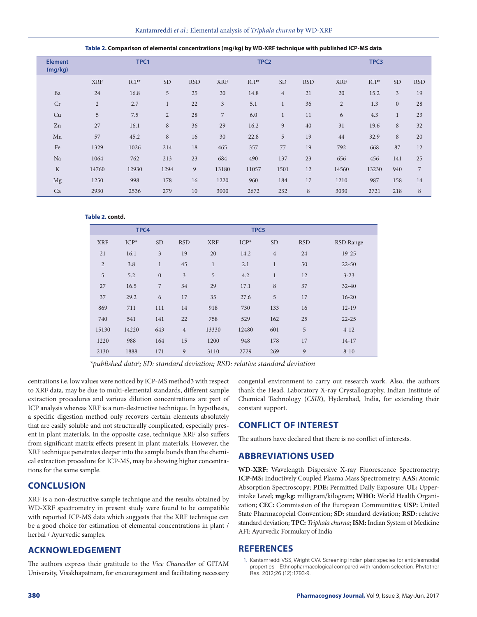| <b>TODIC 2: COMPUTION OF CICINCHINI CONCENTRATION</b> (inglise) by the Anti-Recharged with published its and dutu |                |         |                |            |                  |        |                |            |                  |        |                |                |
|-------------------------------------------------------------------------------------------------------------------|----------------|---------|----------------|------------|------------------|--------|----------------|------------|------------------|--------|----------------|----------------|
| <b>Element</b><br>(mg/kg)                                                                                         | TPC1           |         |                |            | TPC <sub>2</sub> |        |                |            | TPC3             |        |                |                |
|                                                                                                                   | <b>XRF</b>     | $ICP^*$ | <b>SD</b>      | <b>RSD</b> | <b>XRF</b>       | $ICP*$ | <b>SD</b>      | <b>RSD</b> | <b>XRF</b>       | $ICP*$ | <b>SD</b>      | <b>RSD</b>     |
| Ba                                                                                                                | 24             | 16.8    | 5              | 25         | 20               | 14.8   | $\overline{4}$ | 21         | 20               | 15.2   | $\mathfrak{Z}$ | 19             |
| Cr                                                                                                                | $\overline{2}$ | 2.7     | $\mathbf{1}$   | 22         | $\overline{3}$   | 5.1    | $\mathbf{1}$   | 36         | $\overline{2}$   | 1.3    | $\mathbf{0}$   | 28             |
| Cu                                                                                                                | 5              | 7.5     | $\overline{2}$ | 28         | $\overline{7}$   | 6.0    | $\mathbf{1}$   | 11         | $\boldsymbol{6}$ | 4.3    | $\mathbf{1}$   | 23             |
| Zn                                                                                                                | 27             | 16.1    | 8              | 36         | 29               | 16.2   | 9              | 40         | 31               | 19.6   | $\,$ 8 $\,$    | 32             |
| Mn                                                                                                                | 57             | 45.2    | 8              | 16         | 30               | 22.8   | 5              | 19         | 44               | 32.9   | 8              | 20             |
| Fe                                                                                                                | 1329           | 1026    | 214            | 18         | 465              | 357    | 77             | 19         | 792              | 668    | 87             | 12             |
| Na                                                                                                                | 1064           | 762     | 213            | 23         | 684              | 490    | 137            | 23         | 656              | 456    | 141            | 25             |
| $\rm K$                                                                                                           | 14760          | 12930   | 1294           | 9          | 13180            | 11057  | 1501           | 12         | 14560            | 13230  | 940            | $\overline{7}$ |
| Mg                                                                                                                | 1250           | 998     | 178            | 16         | 1220             | 960    | 184            | 17         | 1210             | 987    | 158            | 14             |
| Ca                                                                                                                | 2930           | 2536    | 279            | 10         | 3000             | 2672   | 232            | 8          | 3030             | 2721   | 218            | 8              |

**Table 2. Comparison of elemental concentrations (mg/kg) by WD-XRF technique with published ICP-MS data**

# **Table 2. contd.**

| TPC4           |        |                  |                | TPC5                                            |       |                |    |           |
|----------------|--------|------------------|----------------|-------------------------------------------------|-------|----------------|----|-----------|
| <b>XRF</b>     | $ICP*$ | <b>SD</b>        | <b>RSD</b>     | $ICP*$<br><b>SD</b><br><b>XRF</b><br><b>RSD</b> |       | RSD Range      |    |           |
| 21             | 16.1   | 3                | 19             | 20                                              | 14.2  | $\overline{4}$ | 24 | $19-25$   |
| $\overline{2}$ | 3.8    | $\mathbf{1}$     | 45             | $\mathbf{1}$                                    | 2.1   | $\mathbf{1}$   | 50 | $22 - 50$ |
| 5              | 5.2    | $\boldsymbol{0}$ | $\overline{3}$ | 5                                               | 4.2   | $\mathbf{1}$   | 12 | $3 - 23$  |
| 27             | 16.5   | 7                | 34             | 29                                              | 17.1  | 8              | 37 | $32 - 40$ |
| 37             | 29.2   | 6                | 17             | 35                                              | 27.6  | 5              | 17 | $16 - 20$ |
| 869            | 711    | 111              | 14             | 918                                             | 730   | 133            | 16 | $12-19$   |
| 740            | 541    | 141              | 22             | 758                                             | 529   | 162            | 25 | $22 - 25$ |
| 15130          | 14220  | 643              | $\overline{4}$ | 13330                                           | 12480 | 601            | 5  | $4 - 12$  |
| 1220           | 988    | 164              | 15             | 1200                                            | 948   | 178            | 17 | $14-17$   |
| 2130           | 1888   | 171              | 9              | 3110                                            | 2729  | 269            | 9  | $8 - 10$  |

*\*published data3 ; SD: standard deviation; RSD: relative standard deviation* 

centrations i.e. low values were noticed by ICP-MS method3 with respect to XRF data, may be due to multi-elemental standards, different sample extraction procedures and various dilution concentrations are part of ICP analysis whereas XRF is a non-destructive technique. In hypothesis, a specific digestion method only recovers certain elements absolutely that are easily soluble and not structurally complicated, especially present in plant materials. In the opposite case, technique XRF also suffers from significant matrix effects present in plant materials. However, the XRF technique penetrates deeper into the sample bonds than the chemical extraction procedure for ICP-MS, may be showing higher concentrations for the same sample.

# **CONCLUSION**

XRF is a non-destructive sample technique and the results obtained by WD-XRF spectrometry in present study were found to be compatible with reported ICP-MS data which suggests that the XRF technique can be a good choice for estimation of elemental concentrations in plant / herbal / Ayurvedic samples.

# **ACKNOWLEDGEMENT**

The authors express their gratitude to the *Vice Chancellor* of GITAM University, Visakhapatnam, for encouragement and facilitating necessary congenial environment to carry out research work. Also, the authors thank the Head, Laboratory X-ray Crystallography, Indian Institute of Chemical Technology (*CSIR*), Hyderabad, India, for extending their constant support.

# **CONFLICT OF INTEREST**

The authors have declared that there is no conflict of interests.

# **ABBREVIATIONS USED**

**WD-XRF:** Wavelength Dispersive X-ray Fluorescence Spectrometry; **ICP-MS:** Inductively Coupled Plasma Mass Spectrometry; **AAS:** Atomic Absorption Spectroscopy; **PDE:** Permitted Daily Exposure; **UL:** Upperintake Level; **mg/kg:** milligram/kilogram; **WHO:** World Health Organization; **CEC:** Commission of the European Communities; **USP:** United State Pharmacopeial Convention; **SD**: standard deviation; **RSD**: relative standard deviation; **TPC:** *Triphala churna*; **ISM:** Indian System of Medicine AFI: Ayurvedic Formulary of India

# **REFERENCES**

1. Kantamreddi VSS, Wright CW. Screening Indian plant species for antiplasmodial properties – Ethnopharmacological compared with random selection. Phytother Res. 2012;26 (12):1793-9.